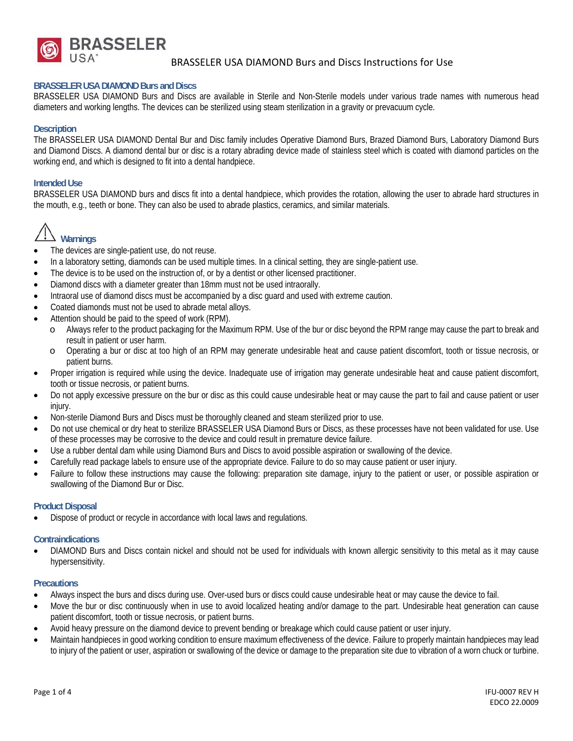

# BRASSELER USA DIAMOND Burs and Discs Instructions for Use

#### **BRASSELER USA DIAMOND Burs and Discs**

BRASSELER USA DIAMOND Burs and Discs are available in Sterile and Non-Sterile models under various trade names with numerous head diameters and working lengths. The devices can be sterilized using steam sterilization in a gravity or prevacuum cycle.

## **Description**

The BRASSELER USA DIAMOND Dental Bur and Disc family includes Operative Diamond Burs, Brazed Diamond Burs, Laboratory Diamond Burs and Diamond Discs. A diamond dental bur or disc is a rotary abrading device made of stainless steel which is coated with diamond particles on the working end, and which is designed to fit into a dental handpiece.

#### **Intended Use**

BRASSELER USA DIAMOND burs and discs fit into a dental handpiece, which provides the rotation, allowing the user to abrade hard structures in the mouth, e.g., teeth or bone. They can also be used to abrade plastics, ceramics, and similar materials.



- The devices are single-patient use, do not reuse.
- In a laboratory setting, diamonds can be used multiple times. In a clinical setting, they are single-patient use.
- The device is to be used on the instruction of, or by a dentist or other licensed practitioner.
- Diamond discs with a diameter greater than 18mm must not be used intraorally.
- Intraoral use of diamond discs must be accompanied by a disc guard and used with extreme caution.
- Coated diamonds must not be used to abrade metal alloys.
- Attention should be paid to the speed of work (RPM).
	- o Always refer to the product packaging for the Maximum RPM. Use of the bur or disc beyond the RPM range may cause the part to break and result in patient or user harm.
	- o Operating a bur or disc at too high of an RPM may generate undesirable heat and cause patient discomfort, tooth or tissue necrosis, or patient burns.
- Proper irrigation is required while using the device. Inadequate use of irrigation may generate undesirable heat and cause patient discomfort, tooth or tissue necrosis, or patient burns.
- Do not apply excessive pressure on the bur or disc as this could cause undesirable heat or may cause the part to fail and cause patient or user injury.
- Non-sterile Diamond Burs and Discs must be thoroughly cleaned and steam sterilized prior to use.
- Do not use chemical or dry heat to sterilize BRASSELER USA Diamond Burs or Discs, as these processes have not been validated for use. Use of these processes may be corrosive to the device and could result in premature device failure.
- Use a rubber dental dam while using Diamond Burs and Discs to avoid possible aspiration or swallowing of the device.
- Carefully read package labels to ensure use of the appropriate device. Failure to do so may cause patient or user injury.
- Failure to follow these instructions may cause the following: preparation site damage, injury to the patient or user, or possible aspiration or swallowing of the Diamond Bur or Disc.

#### **Product Disposal**

Dispose of product or recycle in accordance with local laws and regulations.

#### **Contraindications**

 DIAMOND Burs and Discs contain nickel and should not be used for individuals with known allergic sensitivity to this metal as it may cause hypersensitivity.

## **Precautions**

- Always inspect the burs and discs during use. Over-used burs or discs could cause undesirable heat or may cause the device to fail.
- Move the bur or disc continuously when in use to avoid localized heating and/or damage to the part. Undesirable heat generation can cause patient discomfort, tooth or tissue necrosis, or patient burns.
- Avoid heavy pressure on the diamond device to prevent bending or breakage which could cause patient or user injury.
- Maintain handpieces in good working condition to ensure maximum effectiveness of the device. Failure to properly maintain handpieces may lead to injury of the patient or user, aspiration or swallowing of the device or damage to the preparation site due to vibration of a worn chuck or turbine.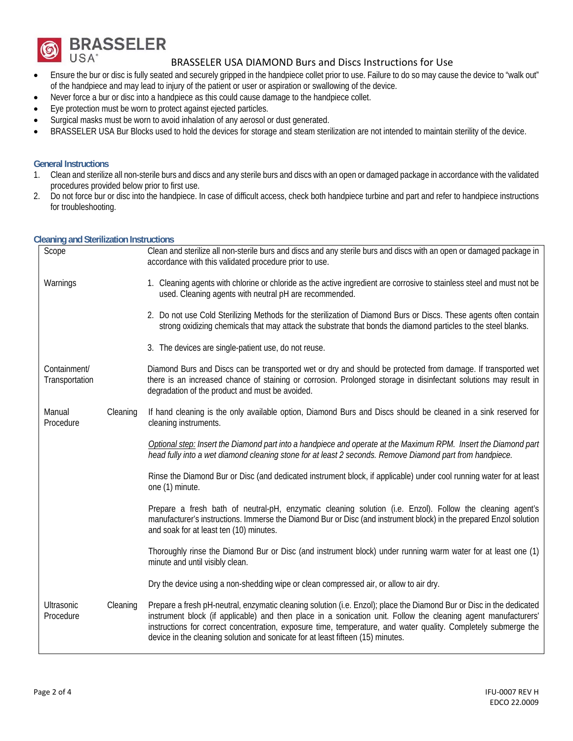

# BRASSELER USA DIAMOND Burs and Discs Instructions for Use

- Ensure the bur or disc is fully seated and securely gripped in the handpiece collet prior to use. Failure to do so may cause the device to "walk out" of the handpiece and may lead to injury of the patient or user or aspiration or swallowing of the device.
- Never force a bur or disc into a handpiece as this could cause damage to the handpiece collet.
- Eye protection must be worn to protect against ejected particles.
- Surgical masks must be worn to avoid inhalation of any aerosol or dust generated.
- BRASSELER USA Bur Blocks used to hold the devices for storage and steam sterilization are not intended to maintain sterility of the device.

## **General Instructions**

- 1. Clean and sterilize all non-sterile burs and discs and any sterile burs and discs with an open or damaged package in accordance with the validated procedures provided below prior to first use.
- 2. Do not force bur or disc into the handpiece. In case of difficult access, check both handpiece turbine and part and refer to handpiece instructions for troubleshooting.

## **Cleaning and Sterilization Instructions**

| Scope                          |          | Clean and sterilize all non-sterile burs and discs and any sterile burs and discs with an open or damaged package in<br>accordance with this validated procedure prior to use.                                                                                                                                                                                                                                                              |
|--------------------------------|----------|---------------------------------------------------------------------------------------------------------------------------------------------------------------------------------------------------------------------------------------------------------------------------------------------------------------------------------------------------------------------------------------------------------------------------------------------|
| Warnings                       |          | 1. Cleaning agents with chlorine or chloride as the active ingredient are corrosive to stainless steel and must not be<br>used. Cleaning agents with neutral pH are recommended.                                                                                                                                                                                                                                                            |
|                                |          | 2. Do not use Cold Sterilizing Methods for the sterilization of Diamond Burs or Discs. These agents often contain<br>strong oxidizing chemicals that may attack the substrate that bonds the diamond particles to the steel blanks.                                                                                                                                                                                                         |
|                                |          | 3. The devices are single-patient use, do not reuse.                                                                                                                                                                                                                                                                                                                                                                                        |
| Containment/<br>Transportation |          | Diamond Burs and Discs can be transported wet or dry and should be protected from damage. If transported wet<br>there is an increased chance of staining or corrosion. Prolonged storage in disinfectant solutions may result in<br>degradation of the product and must be avoided.                                                                                                                                                         |
| Manual<br>Procedure            | Cleaning | If hand cleaning is the only available option, Diamond Burs and Discs should be cleaned in a sink reserved for<br>cleaning instruments.                                                                                                                                                                                                                                                                                                     |
|                                |          | Optional step: Insert the Diamond part into a handpiece and operate at the Maximum RPM. Insert the Diamond part<br>head fully into a wet diamond cleaning stone for at least 2 seconds. Remove Diamond part from handpiece.                                                                                                                                                                                                                 |
|                                |          | Rinse the Diamond Bur or Disc (and dedicated instrument block, if applicable) under cool running water for at least<br>one (1) minute.                                                                                                                                                                                                                                                                                                      |
|                                |          | Prepare a fresh bath of neutral-pH, enzymatic cleaning solution (i.e. Enzol). Follow the cleaning agent's<br>manufacturer's instructions. Immerse the Diamond Bur or Disc (and instrument block) in the prepared Enzol solution<br>and soak for at least ten (10) minutes.                                                                                                                                                                  |
|                                |          | Thoroughly rinse the Diamond Bur or Disc (and instrument block) under running warm water for at least one (1)<br>minute and until visibly clean.                                                                                                                                                                                                                                                                                            |
|                                |          | Dry the device using a non-shedding wipe or clean compressed air, or allow to air dry.                                                                                                                                                                                                                                                                                                                                                      |
| Ultrasonic<br>Procedure        | Cleaning | Prepare a fresh pH-neutral, enzymatic cleaning solution (i.e. Enzol); place the Diamond Bur or Disc in the dedicated<br>instrument block (if applicable) and then place in a sonication unit. Follow the cleaning agent manufacturers'<br>instructions for correct concentration, exposure time, temperature, and water quality. Completely submerge the<br>device in the cleaning solution and sonicate for at least fifteen (15) minutes. |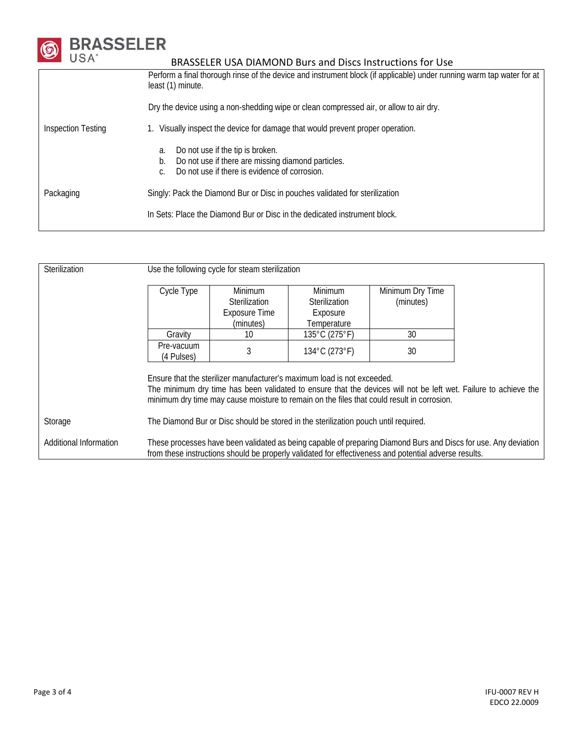

# **6 BRASSELER**<br>USA<sup>\*</sup> BRASSELER USA DIAMOND Burs and Discs Instructions for Use

|                           | Perform a final thorough rinse of the device and instrument block (if applicable) under running warm tap water for at<br>least (1) minute.                |  |  |  |  |
|---------------------------|-----------------------------------------------------------------------------------------------------------------------------------------------------------|--|--|--|--|
|                           | Dry the device using a non-shedding wipe or clean compressed air, or allow to air dry.                                                                    |  |  |  |  |
| <b>Inspection Testing</b> | 1. Visually inspect the device for damage that would prevent proper operation.                                                                            |  |  |  |  |
|                           | Do not use if the tip is broken.<br>a.<br>Do not use if there are missing diamond particles.<br>b.<br>Do not use if there is evidence of corrosion.<br>C. |  |  |  |  |
| Packaging                 | Singly: Pack the Diamond Bur or Disc in pouches validated for sterilization                                                                               |  |  |  |  |
|                           | In Sets: Place the Diamond Bur or Disc in the dedicated instrument block.                                                                                 |  |  |  |  |
|                           |                                                                                                                                                           |  |  |  |  |

| Sterilization          | Use the following cycle for steam sterilization                                                                                                                                                                          |                                                                                                                                                                                                                                                                                          |                                                                   |                               |  |  |  |
|------------------------|--------------------------------------------------------------------------------------------------------------------------------------------------------------------------------------------------------------------------|------------------------------------------------------------------------------------------------------------------------------------------------------------------------------------------------------------------------------------------------------------------------------------------|-------------------------------------------------------------------|-------------------------------|--|--|--|
|                        | Cycle Type                                                                                                                                                                                                               | Minimum<br>Sterilization<br>Exposure Time<br>(minutes)                                                                                                                                                                                                                                   | <b>Minimum</b><br><b>Sterilization</b><br>Exposure<br>Temperature | Minimum Dry Time<br>(minutes) |  |  |  |
|                        | Gravity                                                                                                                                                                                                                  | 10                                                                                                                                                                                                                                                                                       | 135°C (275°F)                                                     | 30                            |  |  |  |
|                        | Pre-vacuum<br>(4 Pulses)                                                                                                                                                                                                 |                                                                                                                                                                                                                                                                                          | 134°C (273°F)                                                     | 30                            |  |  |  |
|                        |                                                                                                                                                                                                                          | Ensure that the sterilizer manufacturer's maximum load is not exceeded.<br>The minimum dry time has been validated to ensure that the devices will not be left wet. Failure to achieve the<br>minimum dry time may cause moisture to remain on the files that could result in corrosion. |                                                                   |                               |  |  |  |
| Storage                | The Diamond Bur or Disc should be stored in the sterilization pouch until required.                                                                                                                                      |                                                                                                                                                                                                                                                                                          |                                                                   |                               |  |  |  |
| Additional Information | These processes have been validated as being capable of preparing Diamond Burs and Discs for use. Any deviation<br>from these instructions should be properly validated for effectiveness and potential adverse results. |                                                                                                                                                                                                                                                                                          |                                                                   |                               |  |  |  |